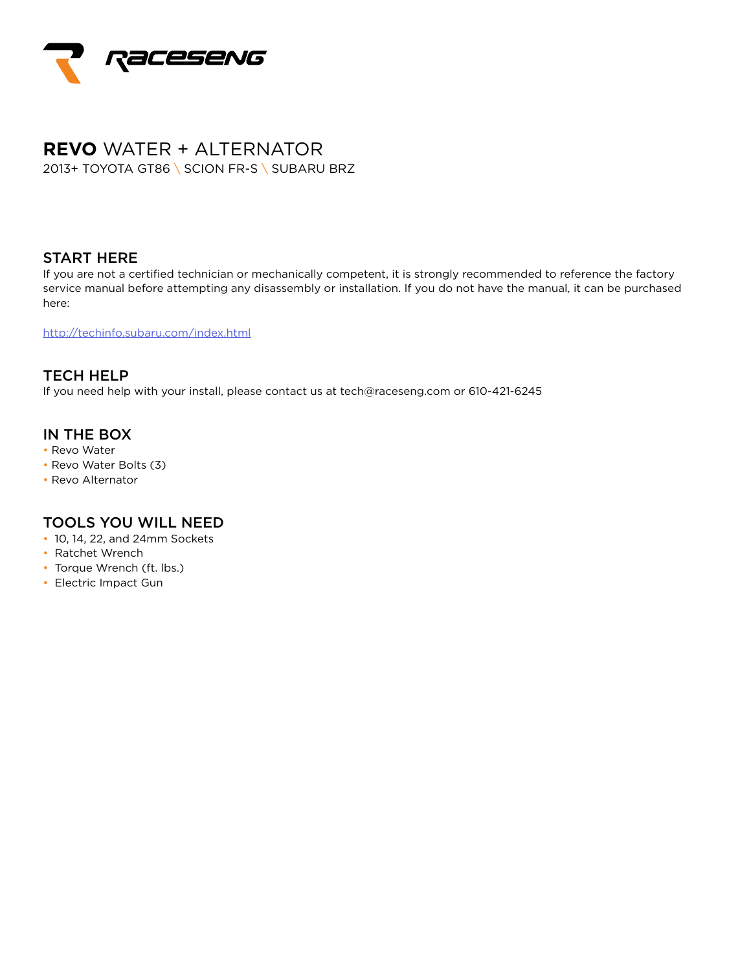

# **REVO** WATER + ALTERNATOR 2013+ TOYOTA GT86 \ SCION FR-S \ SUBARU BRZ

#### START HERE

If you are not a certified technician or mechanically competent, it is strongly recommended to reference the factory service manual before attempting any disassembly or installation. If you do not have the manual, it can be purchased here:

http://techinfo.subaru.com/index.html

TECH HELP If you need help with your install, please contact us at tech@raceseng.com or 610-421-6245

### IN THE BOX

- Revo Water
- Revo Water Bolts (3)
- Revo Alternator

# TOOLS YOU WILL NEED

- 10, 14, 22, and 24mm Sockets
- Ratchet Wrench
- Torque Wrench (ft. lbs.)
- Electric Impact Gun